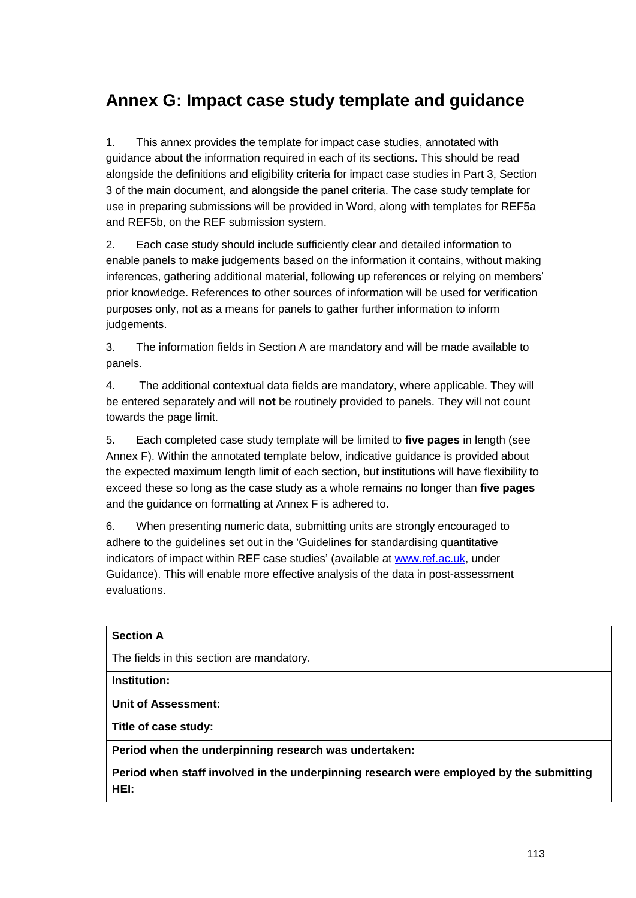## **Annex G: Impact case study template and guidance**

1. This annex provides the template for impact case studies, annotated with guidance about the information required in each of its sections. This should be read alongside the definitions and eligibility criteria for impact case studies in Part 3, Section 3 of the main document, and alongside the panel criteria. The case study template for use in preparing submissions will be provided in Word, along with templates for REF5a and REF5b, on the REF submission system.

2. Each case study should include sufficiently clear and detailed information to enable panels to make judgements based on the information it contains, without making inferences, gathering additional material, following up references or relying on members' prior knowledge. References to other sources of information will be used for verification purposes only, not as a means for panels to gather further information to inform judgements.

3. The information fields in Section A are mandatory and will be made available to panels.

4. The additional contextual data fields are mandatory, where applicable. They will be entered separately and will **not** be routinely provided to panels. They will not count towards the page limit.

5. Each completed case study template will be limited to **five pages** in length (see Annex F). Within the annotated template below, indicative guidance is provided about the expected maximum length limit of each section, but institutions will have flexibility to exceed these so long as the case study as a whole remains no longer than **five pages**  and the guidance on formatting at Annex F is adhered to.

6. When presenting numeric data, submitting units are strongly encouraged to adhere to the guidelines set out in the 'Guidelines for standardising quantitative indicators of impact within REF case studies' (available at www.ref.ac.uk, under Guidance). This will enable more effective analysis of the data in post-assessment evaluations.

# **Section A** The fields in this section are mandatory. **Institution: Unit of Assessment: Title of case study: Period when the underpinning research was undertaken: Period when staff involved in the underpinning research were employed by the submitting HEI:**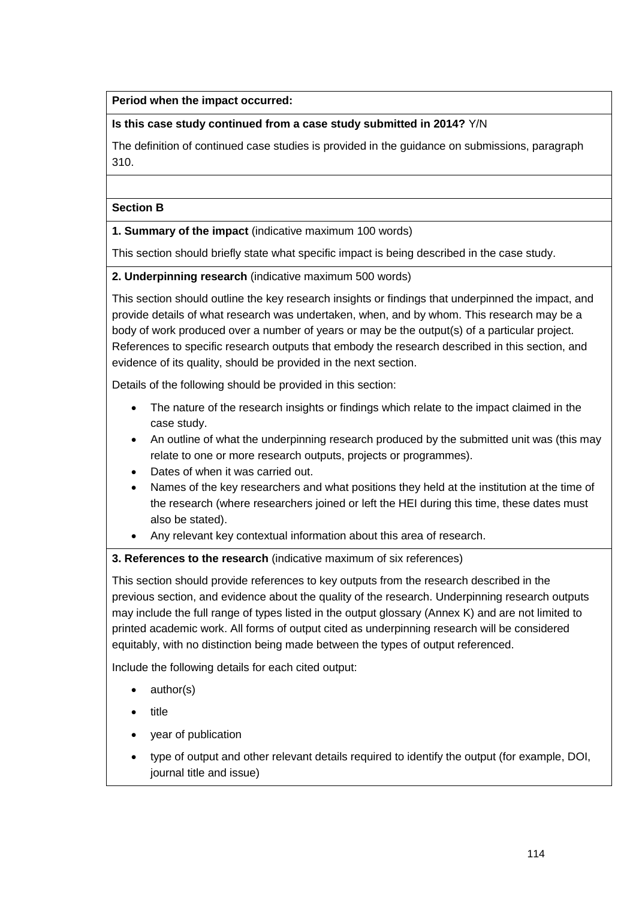## **Period when the impact occurred:**

## **Is this case study continued from a case study submitted in 2014?** Y/N

The definition of continued case studies is provided in the guidance on submissions, paragraph 310.

#### **Section B**

**1. Summary of the impact** (indicative maximum 100 words)

This section should briefly state what specific impact is being described in the case study.

**2. Underpinning research** (indicative maximum 500 words)

This section should outline the key research insights or findings that underpinned the impact, and provide details of what research was undertaken, when, and by whom. This research may be a body of work produced over a number of years or may be the output(s) of a particular project. References to specific research outputs that embody the research described in this section, and evidence of its quality, should be provided in the next section.

Details of the following should be provided in this section:

- The nature of the research insights or findings which relate to the impact claimed in the case study.
- An outline of what the underpinning research produced by the submitted unit was (this may relate to one or more research outputs, projects or programmes).
- Dates of when it was carried out.
- Names of the key researchers and what positions they held at the institution at the time of the research (where researchers joined or left the HEI during this time, these dates must also be stated).
- Any relevant key contextual information about this area of research.

### **3. References to the research** (indicative maximum of six references)

This section should provide references to key outputs from the research described in the previous section, and evidence about the quality of the research. Underpinning research outputs may include the full range of types listed in the output glossary (Annex K) and are not limited to printed academic work. All forms of output cited as underpinning research will be considered equitably, with no distinction being made between the types of output referenced.

Include the following details for each cited output:

- author(s)
- title
- vear of publication
- type of output and other relevant details required to identify the output (for example, DOI, journal title and issue)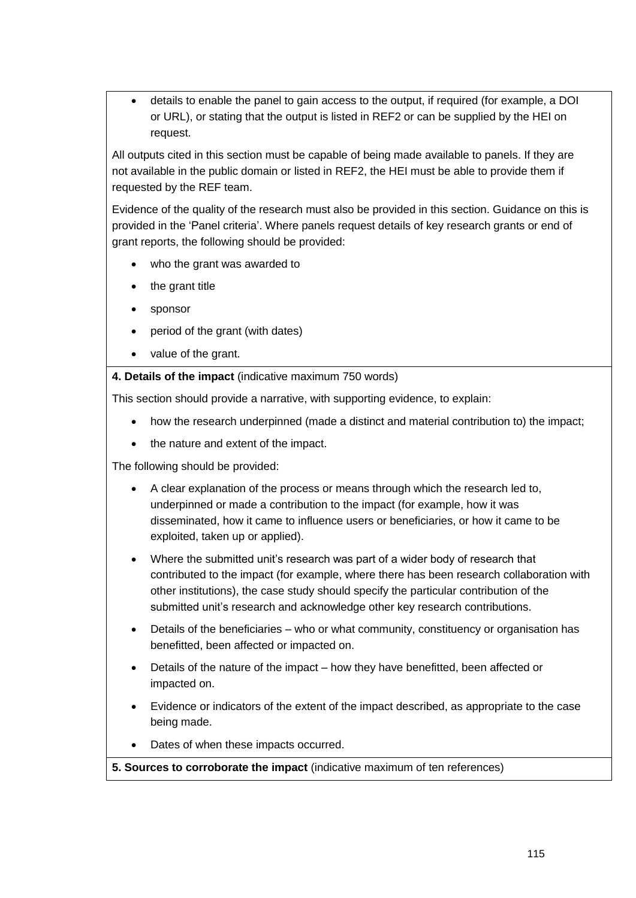details to enable the panel to gain access to the output, if required (for example, a DOI or URL), or stating that the output is listed in REF2 or can be supplied by the HEI on request.

All outputs cited in this section must be capable of being made available to panels. If they are not available in the public domain or listed in REF2, the HEI must be able to provide them if requested by the REF team.

Evidence of the quality of the research must also be provided in this section. Guidance on this is provided in the 'Panel criteria'. Where panels request details of key research grants or end of grant reports, the following should be provided:

- who the grant was awarded to
- the grant title
- sponsor
- period of the grant (with dates)
- value of the grant.

**4. Details of the impact** (indicative maximum 750 words)

This section should provide a narrative, with supporting evidence, to explain:

- how the research underpinned (made a distinct and material contribution to) the impact;
- the nature and extent of the impact.

The following should be provided:

- A clear explanation of the process or means through which the research led to, underpinned or made a contribution to the impact (for example, how it was disseminated, how it came to influence users or beneficiaries, or how it came to be exploited, taken up or applied).
- Where the submitted unit's research was part of a wider body of research that contributed to the impact (for example, where there has been research collaboration with other institutions), the case study should specify the particular contribution of the submitted unit's research and acknowledge other key research contributions.
- Details of the beneficiaries who or what community, constituency or organisation has benefitted, been affected or impacted on.
- Details of the nature of the impact how they have benefitted, been affected or impacted on.
- Evidence or indicators of the extent of the impact described, as appropriate to the case being made.
- Dates of when these impacts occurred.

### **5. Sources to corroborate the impact** (indicative maximum of ten references)